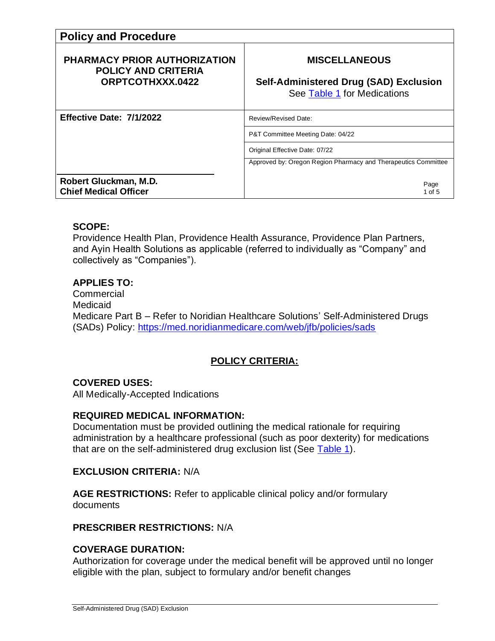| <b>Policy and Procedure</b>                                                           |                                                                                                      |  |  |
|---------------------------------------------------------------------------------------|------------------------------------------------------------------------------------------------------|--|--|
| <b>PHARMACY PRIOR AUTHORIZATION</b><br><b>POLICY AND CRITERIA</b><br>ORPTCOTHXXX.0422 | <b>MISCELLANEOUS</b><br><b>Self-Administered Drug (SAD) Exclusion</b><br>See Table 1 for Medications |  |  |
| Effective Date: 7/1/2022                                                              | Review/Revised Date:                                                                                 |  |  |
|                                                                                       | P&T Committee Meeting Date: 04/22                                                                    |  |  |
|                                                                                       | Original Effective Date: 07/22                                                                       |  |  |
|                                                                                       | Approved by: Oregon Region Pharmacy and Therapeutics Committee                                       |  |  |
| Robert Gluckman, M.D.<br><b>Chief Medical Officer</b>                                 | Page<br>1 of 5                                                                                       |  |  |

### **SCOPE:**

Providence Health Plan, Providence Health Assurance, Providence Plan Partners, and Ayin Health Solutions as applicable (referred to individually as "Company" and collectively as "Companies").

### **APPLIES TO:**

**Commercial** Medicaid Medicare Part B – Refer to Noridian Healthcare Solutions' Self-Administered Drugs (SADs) Policy: <https://med.noridianmedicare.com/web/jfb/policies/sads>

# **POLICY CRITERIA:**

### **COVERED USES:**

All Medically-Accepted Indications

### **REQUIRED MEDICAL INFORMATION:**

Documentation must be provided outlining the medical rationale for requiring administration by a healthcare professional (such as poor dexterity) for medications that are on the self-administered drug exclusion list (See [Table 1\)](#page-2-0).

#### **EXCLUSION CRITERIA:** N/A

**AGE RESTRICTIONS:** Refer to applicable clinical policy and/or formulary documents

#### **PRESCRIBER RESTRICTIONS:** N/A

### **COVERAGE DURATION:**

Authorization for coverage under the medical benefit will be approved until no longer eligible with the plan, subject to formulary and/or benefit changes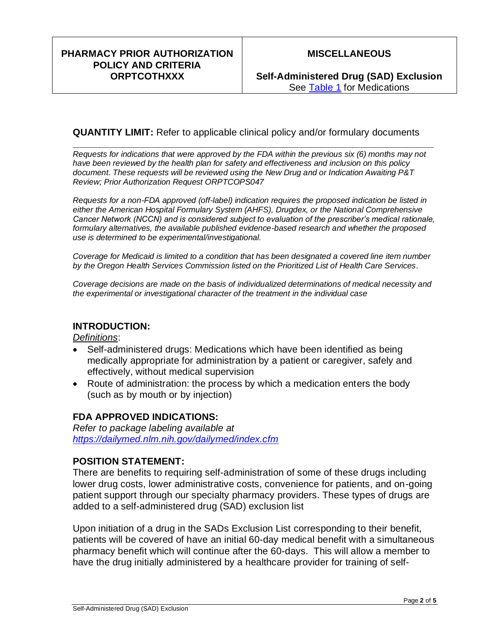## **MISCELLANEOUS**

### **QUANTITY LIMIT:** Refer to applicable clinical policy and/or formulary documents

**\_\_\_\_\_\_\_\_\_\_\_\_\_\_\_\_\_\_\_\_\_\_\_\_\_\_\_\_\_\_\_\_\_\_\_\_\_\_\_\_\_\_\_\_\_\_\_\_\_\_\_\_\_\_\_\_\_\_\_\_\_\_\_\_\_\_\_** *Requests for indications that were approved by the FDA within the previous six (6) months may not have been reviewed by the health plan for safety and effectiveness and inclusion on this policy document. These requests will be reviewed using the New Drug and or Indication Awaiting P&T Review; Prior Authorization Request ORPTCOPS047*

*Requests for a non-FDA approved (off-label) indication requires the proposed indication be listed in either the American Hospital Formulary System (AHFS), Drugdex, or the National Comprehensive Cancer Network (NCCN) and is considered subject to evaluation of the prescriber's medical rationale, formulary alternatives, the available published evidence-based research and whether the proposed use is determined to be experimental/investigational.* 

*Coverage for Medicaid is limited to a condition that has been designated a covered line item number by the Oregon Health Services Commission listed on the Prioritized List of Health Care Services.*

*Coverage decisions are made on the basis of individualized determinations of medical necessity and the experimental or investigational character of the treatment in the individual case*

### **INTRODUCTION:**

*Definitions*:

- Self-administered drugs: Medications which have been identified as being medically appropriate for administration by a patient or caregiver, safely and effectively, without medical supervision
- Route of administration: the process by which a medication enters the body (such as by mouth or by injection)

### **FDA APPROVED INDICATIONS:**

*Refer to package labeling available at <https://dailymed.nlm.nih.gov/dailymed/index.cfm>*

### **POSITION STATEMENT:**

There are benefits to requiring self-administration of some of these drugs including lower drug costs, lower administrative costs, convenience for patients, and on-going patient support through our specialty pharmacy providers. These types of drugs are added to a self-administered drug (SAD) exclusion list

Upon initiation of a drug in the SADs Exclusion List corresponding to their benefit, patients will be covered of have an initial 60-day medical benefit with a simultaneous pharmacy benefit which will continue after the 60-days. This will allow a member to have the drug initially administered by a healthcare provider for training of self-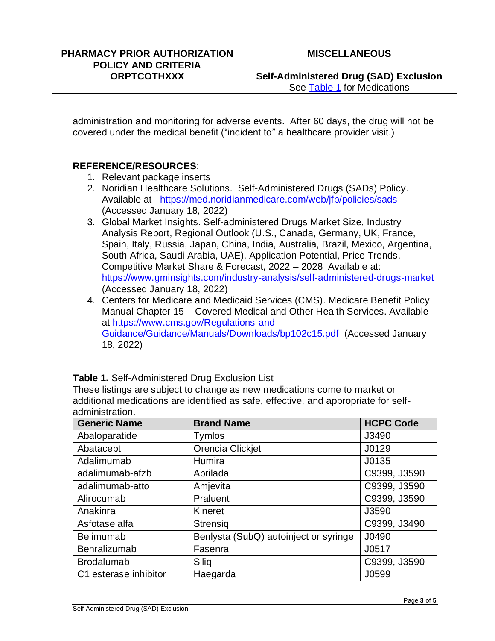#### PHARMACY PRIOR AUTHORIZATION POLICY AND CRITERIA **ORPTCOTHXXX**

Self-Administered Drug (SAD) Exclusion See Table 1 for Medications

administration and monitoring for adverse events. After 60 days, the drug will not be covered under the medical benefit ("incident to" a healthcare provider visit.)

## **REFERENCE/RESOURCES:**

- 1. Relevant package inserts
- 2. Noridian Healthcare Solutions. Self-Administered Drugs (SADs) Policy. Available at https://med.noridianmedicare.com/web/jfb/policies/sads (Accessed January 18, 2022)
- 3. Global Market Insights. Self-administered Drugs Market Size, Industry Analysis Report, Regional Outlook (U.S., Canada, Germany, UK, France, Spain, Italy, Russia, Japan, China, India, Australia, Brazil, Mexico, Argentina, South Africa, Saudi Arabia, UAE), Application Potential, Price Trends, Competitive Market Share & Forecast, 2022 - 2028 Available at: https://www.gminsights.com/industry-analysis/self-administered-drugs-market (Accessed January 18, 2022)
- 4. Centers for Medicare and Medicaid Services (CMS). Medicare Benefit Policy Manual Chapter 15 - Covered Medical and Other Health Services. Available at https://www.cms.gov/Regulations-and-Guidance/Guidance/Manuals/Downloads/bp102c15.pdf (Accessed January 18, 2022)

| <b>Generic Name</b>   | <b>Brand Name</b>                     | <b>HCPC Code</b> |
|-----------------------|---------------------------------------|------------------|
| Abaloparatide         | <b>Tymlos</b>                         | J3490            |
| Abatacept             | Orencia Clickjet                      | J0129            |
| Adalimumab            | Humira                                | J0135            |
| adalimumab-afzb       | Abrilada                              | C9399, J3590     |
| adalimumab-atto       | Amjevita                              | C9399, J3590     |
| Alirocumab            | Praluent                              | C9399, J3590     |
| Anakinra              | Kineret                               | J3590            |
| Asfotase alfa         | <b>Strensig</b>                       | C9399, J3490     |
| <b>Belimumab</b>      | Benlysta (SubQ) autoinject or syringe | J0490            |
| Benralizumab          | Fasenra                               | J0517            |
| <b>Brodalumab</b>     | Siliq                                 | C9399, J3590     |
| C1 esterase inhibitor | Haegarda                              | J0599            |

<span id="page-2-0"></span>Table 1. Self-Administered Drug Exclusion List

These listings are subject to change as new medications come to market or additional medications are identified as safe, effective, and appropriate for selfadministration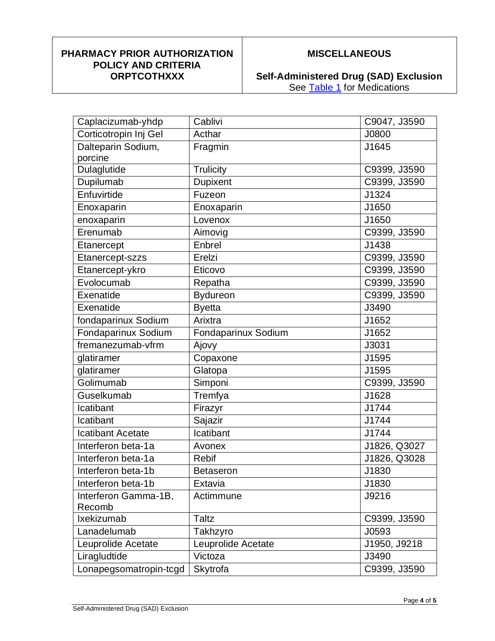#### **PHARMACY PRIOR AUTHORIZATION POLICY AND CRITERIA ORPTCOTHXXX**

# **MISCELLANEOUS**

**Self-Administered Drug (SAD) Exclusion** See Table 1 for Medications

| Caplacizumab-yhdp        | Cablivi             | C9047, J3590 |
|--------------------------|---------------------|--------------|
| Corticotropin Inj Gel    | Acthar              | J0800        |
| Dalteparin Sodium,       | Fragmin             | J1645        |
| porcine                  |                     |              |
| Dulaglutide              | <b>Trulicity</b>    | C9399, J3590 |
| Dupilumab                | Dupixent            | C9399, J3590 |
| Enfuvirtide              | Fuzeon              | J1324        |
| Enoxaparin               | Enoxaparin          | J1650        |
| enoxaparin               | Lovenox             | J1650        |
| Erenumab                 | Aimovig             | C9399, J3590 |
| Etanercept               | Enbrel              | J1438        |
| Etanercept-szzs          | Erelzi              | C9399, J3590 |
| Etanercept-ykro          | Eticovo             | C9399, J3590 |
| Evolocumab               | Repatha             | C9399, J3590 |
| Exenatide                | <b>Bydureon</b>     | C9399, J3590 |
| Exenatide                | <b>Byetta</b>       | J3490        |
| fondaparinux Sodium      | Arixtra             | J1652        |
| Fondaparinux Sodium      | Fondaparinux Sodium | J1652        |
| fremanezumab-vfrm        | Ajovy               | J3031        |
| glatiramer               | Copaxone            | J1595        |
| glatiramer               | Glatopa             | J1595        |
| Golimumab                | Simponi             | C9399, J3590 |
| Guselkumab               | Tremfya             | J1628        |
| Icatibant                | Firazyr             | J1744        |
| Icatibant                | Sajazir             | J1744        |
| <b>Icatibant Acetate</b> | Icatibant           | J1744        |
| Interferon beta-1a       | Avonex              | J1826, Q3027 |
| Interferon beta-1a       | <b>Rebif</b>        | J1826, Q3028 |
| Interferon beta-1b       | <b>Betaseron</b>    | J1830        |
| Interferon beta-1b       | Extavia             | J1830        |
| Interferon Gamma-1B,     | Actimmune           | J9216        |
| Recomb                   |                     |              |
| Ixekizumab               | <b>Taltz</b>        | C9399, J3590 |
| Lanadelumab              | Takhzyro            | J0593        |
| Leuprolide Acetate       | Leuprolide Acetate  | J1950, J9218 |
| Liragludtide             | Victoza             | J3490        |
| Lonapegsomatropin-tcgd   | Skytrofa            | C9399, J3590 |